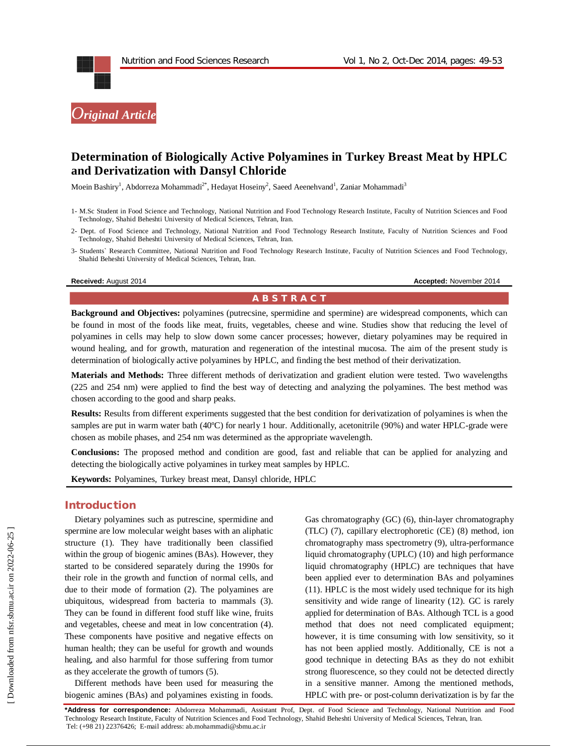

# **Determination of Biologically Active Polyamines in Turkey Breast Meat by HPLC and Derivatization with Dansyl Chloride**

Moein Bashiry<sup>1</sup>, Abdorreza Mohammadi<sup>2\*</sup>, Hedayat Hoseiny<sup>2</sup>, Saeed Aeenehvand<sup>1</sup>, Zaniar Mohammadi<sup>3</sup>

- 1- M.Sc Student in Food Science and Technology, National Nutrition and Food Technology Research Institute, Faculty of Nutrition Sciences and Food Technology, Shahid Beheshti University of Medical Sciences, Tehran, Iran.
- 2- Dept. of Food Science and Technology, National Nutrition and Food Technology Research Institute, Faculty of Nutrition Sciences and Food Technology, Shahid Beheshti University of Medical Sciences, Tehran, Iran.
- 3- Students` Research Committee, National Nutrition and Food Technology Research Institute, Faculty of Nutrition Sciences and Food Technology, Shahid Beheshti University of Medical Sciences, Tehran, Iran.

#### **Received:** August 2014 **Accepted:** November 2014

#### **A B S T R A C T**

**Background and Objectives:** polyamines (putrecsine, spermidine and spermine) are widespread components, which can be found in most of the foods like meat, fruits, vegetables, cheese and wine. Studies show that reducing the level of polyamines in cells may help to slow down some cancer processes; however, dietary polyamines may be required in wound healing, and for growth, maturation and regeneration of the intestinal mucosa. The aim of the present study is determination of biologically active polyamines by HPLC, and finding the best method of their derivatization.

**Materials and Methods:** Three different methods of derivatization and gradient elution were tested. Two wavelengths (225 and 254 nm) were applied to find the best way of detecting and analyzing the polyamines. The best method was chosen according to the good and sharp peaks.

**Results:** Results from different experiments suggested that the best condition for derivatization of polyamines is when the samples are put in warm water bath (40°C) for nearly 1 hour. Additionally, acetonitrile (90%) and water HPLC-grade were chosen as mobile phases, and 254 nm was determined as the appropriate wavelength.

**Conclusions:** The proposed method and condition are good, fast and reliable that can be applied for analyzing and detecting the biologically active polyamines in turkey meat samples by HPLC.

**Keywords:** Polyamines, Turkey breast meat, Dansyl chloride, HPLC

### **Introduction**

Dietary polyamines such as putrescine, spermidine and spermine are low molecular weight bases with an aliphatic structure (1). They have traditionally been classified within the group of biogenic amines (BAs). However, they started to be considered separately during the 1990s for their role in the growth and function of normal cells, and due to their mode of formation (2). The polyamines are ubiquitous, widespread from bacteria to mammals (3). They can be found in different food stuff like wine, fruits and vegetables, cheese and meat in low concentration (4). These components have positive and negative effects on human health; they can be useful for growth and wounds healing, and also harmful for those suffering from tumor as they accelerate the growth of tumors (5).

Different methods have been used for measuring the biogenic amines (BAs) and polyamines existing in foods.

Gas chromatography (GC) (6), thin-layer chromatography (TLC) (7), capillary electrophoretic (CE) (8) method, ion chromatography mass spectrometry (9), ultra-performance liquid chromatography (UPLC) (10) and high performance liquid chromatography (HPLC) are techniques that have been applied ever to determination BAs and polyamines (11). HPLC is the most widely used technique for its high sensitivity and wide range of linearity (12). GC is rarely applied for determination of BAs. Although TCL is a good method that does not need complicated equipment; however, it is time consuming with low sensitivity, so it has not been applied mostly. Additionally, CE is not a good technique in detecting BAs as they do not exhibit strong fluorescence, so they could not be detected directly in a sensitive manner. Among the mentioned methods, HPLC with pre- or post-column derivatization is by far the

**\*Address for correspondence:** Abdorreza Mohammadi, Assistant Prof, Dept. of Food Science and Technology, National Nutrition and Food Technology Research Institute, Faculty of Nutrition Sciences and Food Technology, Shahid Beheshti University of Medical Sciences, Tehran, Iran. Tel: (+98 21) 22376426; E-mail address: ab.mohammadi@sbmu.ac.ir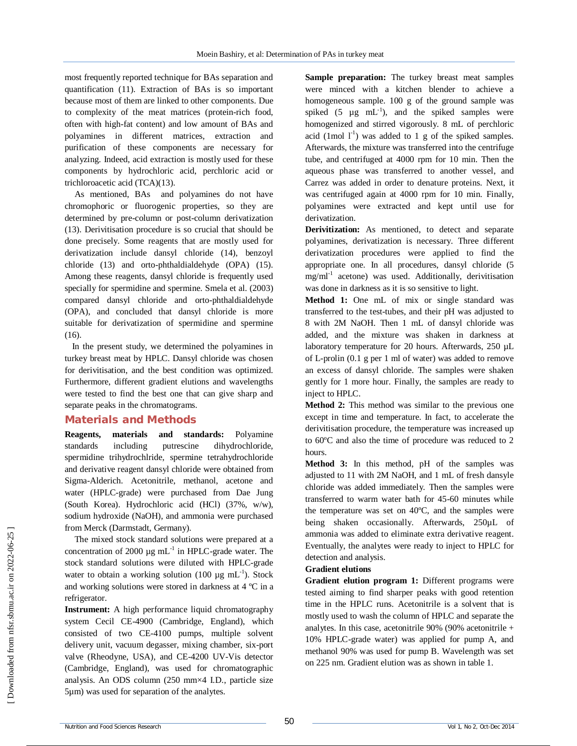most frequently reported technique for BAs separation and quantification (11). Extraction of BAs is so important because most of them are linked to other components. Due to complexity of the meat matrices (protein-rich food, often with high-fat content) and low amount of BAs and polyamines in different matrices, extraction and purification of these components are necessary for analyzing. Indeed, acid extraction is mostly used for these components by hydrochloric acid, perchloric acid or trichloroacetic acid (TCA)(13).

As mentioned, BAs and polyamines do not have chromophoric or fluorogenic properties, so they are determined by pre-column or post-column derivatization (13). Derivitisation procedure is so crucial that should be done precisely. Some reagents that are mostly used for derivatization include dansyl chloride (14), benzoyl chloride (13) and orto-phthaldialdehyde (OPA) (15). Among these reagents, dansyl chloride is frequently used specially for spermidine and spermine. Smela et al. (2003) compared dansyl chloride and orto-phthaldialdehyde (OPA), and concluded that dansyl chloride is more suitable for derivatization of spermidine and spermine  $(16)$ .

In the present study, we determined the polyamines in turkey breast meat by HPLC. Dansyl chloride was chosen for derivitisation, and the best condition was optimized. Furthermore, different gradient elutions and wavelengths were tested to find the best one that can give sharp and separate peaks in the chromatograms.

## **Materials and Methods**

**Reagents, materials and standards:** Polyamine standards including putrescine dihydrochloride, spermidine trihydrochlride, spermine tetrahydrochloride and derivative reagent dansyl chloride were obtained from Sigma-Alderich. Acetonitrile, methanol, acetone and water (HPLC-grade) were purchased from Dae Jung (South Korea). Hydrochloric acid (HCl) (37%, w/w), sodium hydroxide (NaOH), and ammonia were purchased from Merck (Darmstadt, Germany).

The mixed stock standard solutions were prepared at a concentration of 2000  $\mu$ g mL<sup>-1</sup> in HPLC-grade water. The stock standard solutions were diluted with HPLC-grade water to obtain a working solution (100  $\mu$ g mL<sup>-1</sup>). Stock and working solutions were stored in darkness at 4 ºC in a refrigerator.

**Instrument:** A high performance liquid chromatography system Cecil CE-4900 (Cambridge, England), which consisted of two CE-4100 pumps, multiple solvent delivery unit, vacuum degasser, mixing chamber, six-port valve (Rheodyne, USA), and CE-4200 UV-Vis detector (Cambridge, England), was used for chromatographic analysis. An ODS column (250 mm×4 I.D., particle size 5µm) was used for separation of the analytes.

**Sample preparation:** The turkey breast meat samples were minced with a kitchen blender to achieve a homogeneous sample. 100 g of the ground sample was spiked  $(5 \mu g \text{ mL}^{-1})$ , and the spiked samples were homogenized and stirred vigorously. 8 mL of perchloric acid (1mol  $1^{-1}$ ) was added to 1 g of the spiked samples. Afterwards, the mixture was transferred into the centrifuge tube, and centrifuged at 4000 rpm for 10 min. Then the aqueous phase was transferred to another vessel, and Carrez was added in order to denature proteins. Next, it was centrifuged again at 4000 rpm for 10 min. Finally, polyamines were extracted and kept until use for derivatization.

**Derivitization:** As mentioned, to detect and separate polyamines, derivatization is necessary. Three different derivatization procedures were applied to find the appropriate one. In all procedures, dansyl chloride (5 mg/ml-1 acetone) was used. Additionally, derivitisation was done in darkness as it is so sensitive to light.

**Method 1:** One mL of mix or single standard was transferred to the test-tubes, and their pH was adjusted to 8 with 2M NaOH. Then 1 mL of dansyl chloride was added, and the mixture was shaken in darkness at laboratory temperature for 20 hours. Afterwards, 250 µL of L-prolin (0.1 g per 1 ml of water) was added to remove an excess of dansyl chloride. The samples were shaken gently for 1 more hour. Finally, the samples are ready to inject to HPLC.

**Method 2:** This method was similar to the previous one except in time and temperature. In fact, to accelerate the derivitisation procedure, the temperature was increased up to 60ºC and also the time of procedure was reduced to 2 hours.

**Method 3:** In this method, pH of the samples was adjusted to 11 with 2M NaOH, and 1 mL of fresh dansyle chloride was added immediately. Then the samples were transferred to warm water bath for 45-60 minutes while the temperature was set on 40ºC, and the samples were being shaken occasionally. Afterwards, 250µL of ammonia was added to eliminate extra derivative reagent. Eventually, the analytes were ready to inject to HPLC for detection and analysis.

#### **Gradient elutions**

**Gradient elution program 1:** Different programs were tested aiming to find sharper peaks with good retention time in the HPLC runs. Acetonitrile is a solvent that is mostly used to wash the column of HPLC and separate the analytes. In this case, acetonitrile  $90\%$  (90% acetonitrile + 10% HPLC-grade water) was applied for pump A, and methanol 90% was used for pump B. Wavelength was set on 225 nm. Gradient elution was as shown in table 1.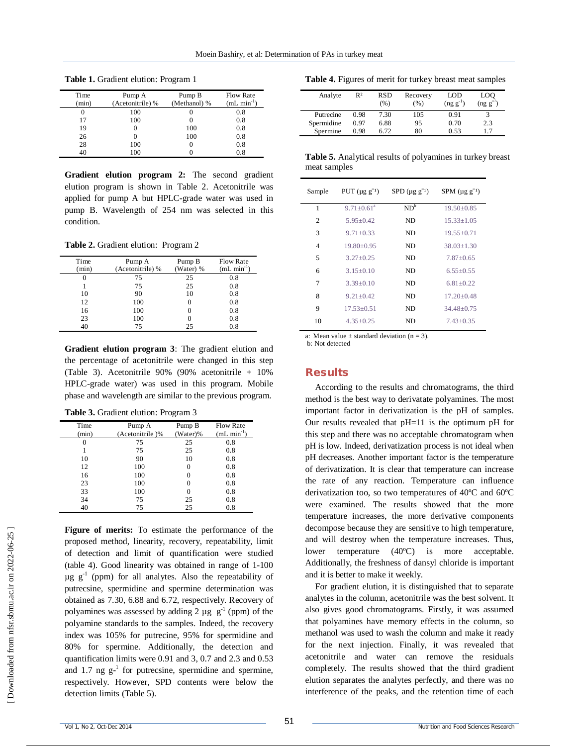| Time  | Pump A           | Pump B       | <b>Flow Rate</b>        |
|-------|------------------|--------------|-------------------------|
| (min) | (Acetonitrile) % | (Methanol) % | $(mL \text{ min}^{-1})$ |
|       | 100              | U            | 0.8                     |
| 17    | 100              |              | 0.8                     |
| 19    | 0                | 100          | 0.8                     |
| 26    |                  | 100          | 0.8                     |
| 28    | 100              | 0            | 0.8                     |
| 40    | 100              |              | 0.8                     |

**Table 1.** Gradient elution: Program 1

**Gradient elution program 2:** The second gradient elution program is shown in Table 2. Acetonitrile was applied for pump A but HPLC-grade water was used in pump B. Wavelength of 254 nm was selected in this condition.

**Table 2.** Gradient elution: Program 2

| Time     | Pump A           | Pump B            | <b>Flow Rate</b> |
|----------|------------------|-------------------|------------------|
| (min)    | (Acetonitrile) % | (Water) %         | $(mL min-1)$     |
| $\theta$ | 75               | 25                | 0.8              |
|          | 75               | 25                | 0.8              |
| 10       | 90               | 10                | 0.8              |
| 12       | 100              | 0                 | 0.8              |
| 16       | 100              | $\mathbf{\Omega}$ | 0.8              |
| 23       | 100              |                   | 0.8              |
|          | 75               | 25                | 0.8              |

**Gradient elution program 3**: The gradient elution and the percentage of acetonitrile were changed in this step (Table 3). Acetonitrile 90% (90% acetonitrile + 10% HPLC-grade water) was used in this program. Mobile phase and wavelength are similar to the previous program.

**Table 3.** Gradient elution: Program 3

| Time     | Pump A          | Pump B   | <b>Flow Rate</b> |
|----------|-----------------|----------|------------------|
| (min)    | (Acetonitrile)% | (Water)% | $(mL min-1)$     |
| $\theta$ | 75              | 25       | 0.8              |
|          | 75              | 25       | 0.8              |
| 10       | 90              | 10       | 0.8              |
| 12       | 100             | $\theta$ | 0.8              |
| 16       | 100             | $\Omega$ | 0.8              |
| 23       | 100             | $\Omega$ | 0.8              |
| 33       | 100             | $\Omega$ | 0.8              |
| 34       | 75              | 25       | 0.8              |
| 40       | 75              | 25       | 0.8              |

**Figure of merits:** To estimate the performance of the proposed method, linearity, recovery, repeatability, limit of detection and limit of quantification were studied (table 4). Good linearity was obtained in range of 1-100  $\mu$ g  $g^{-1}$  (ppm) for all analytes. Also the repeatability of putrecsine, spermidine and spermine determination was obtained as 7.30, 6.88 and 6.72, respectively. Recovery of polyamines was assessed by adding 2  $\mu$ g  $g^{-1}$  (ppm) of the polyamine standards to the samples. Indeed, the recovery index was 105% for putrecine, 95% for spermidine and 80% for spermine. Additionally, the detection and quantification limits were 0.91 and 3, 0.7 and 2.3 and 0.53 and 1.7 ng  $g^{-1}$  for putrecsine, spermidine and spermine, respectively. However, SPD contents were below the detection limits (Table 5).

|  | Table 4. Figures of merit for turkey breast meat samples |  |  |  |
|--|----------------------------------------------------------|--|--|--|
|--|----------------------------------------------------------|--|--|--|

| Analyte    | R <sup>2</sup> | <b>RSD</b><br>(% ) | Recovery<br>(%) | LOD<br>$(ng g^{-1})$ | LOO<br>(ng g <sup>2</sup> ) |
|------------|----------------|--------------------|-----------------|----------------------|-----------------------------|
| Putrecine  | 0.98           | 7.30               | 105             | 0.91                 |                             |
| Spermidine | 0.97           | 6.88               | 95              | 0.70                 | 2.3                         |
| Spermine   | 0.98           | 6.72               | 80              | 0.53                 |                             |

**Table 5.** Analytical results of polyamines in turkey breast meat samples

| Sample         | PUT $(\mu g g^{-1})$ | $SPD (\mu g g^{-1})$ | SPM $(\mu g g^{-1})$ |
|----------------|----------------------|----------------------|----------------------|
| 1              | $9.71 + 0.61^a$      | $ND^b$               | $19.50 + 0.85$       |
| $\overline{c}$ | $5.95 + 0.42$        | ND                   | $15.33 + 1.05$       |
| 3              | $9.71 \pm 0.33$      | ND                   | $19.55 \pm 0.71$     |
| $\overline{4}$ | $19.80 \pm 0.95$     | ND                   | $38.03 + 1.30$       |
| 5              | $3.27 + 0.25$        | ND                   | $7.87 + 0.65$        |
| 6              | $3.15 + 0.10$        | ND                   | $6.55+0.55$          |
| 7              | $3.39 + 0.10$        | ND                   | $6.81 + 0.22$        |
| 8              | $9.21 + 0.42$        | ND                   | $17.20 + 0.48$       |
| 9              | $17.53 + 0.51$       | ND                   | $34.48 + 0.75$       |
| 10             | $4.35+0.25$          | ND                   | $7.43 + 0.35$        |
|                |                      |                      |                      |

a: Mean value  $\pm$  standard deviation (n = 3).

b: Not detected

#### **Results**

According to the results and chromatograms, the third method is the best way to derivatate polyamines. The most important factor in derivatization is the pH of samples. Our results revealed that pH=11 is the optimum pH for this step and there was no acceptable chromatogram when pH is low. Indeed, derivatization process is not ideal when pH decreases. Another important factor is the temperature of derivatization. It is clear that temperature can increase the rate of any reaction. Temperature can influence derivatization too, so two temperatures of 40ºC and 60ºC were examined. The results showed that the more temperature increases, the more derivative components decompose because they are sensitive to high temperature, and will destroy when the temperature increases. Thus, lower temperature (40ºC) is more acceptable. Additionally, the freshness of dansyl chloride is important and it is better to make it weekly.

For gradient elution, it is distinguished that to separate analytes in the column, acetonitrile was the best solvent. It also gives good chromatograms. Firstly, it was assumed that polyamines have memory effects in the column, so methanol was used to wash the column and make it ready for the next injection. Finally, it was revealed that acetonitrile and water can remove the residuals completely. The results showed that the third gradient elution separates the analytes perfectly, and there was no interference of the peaks, and the retention time of each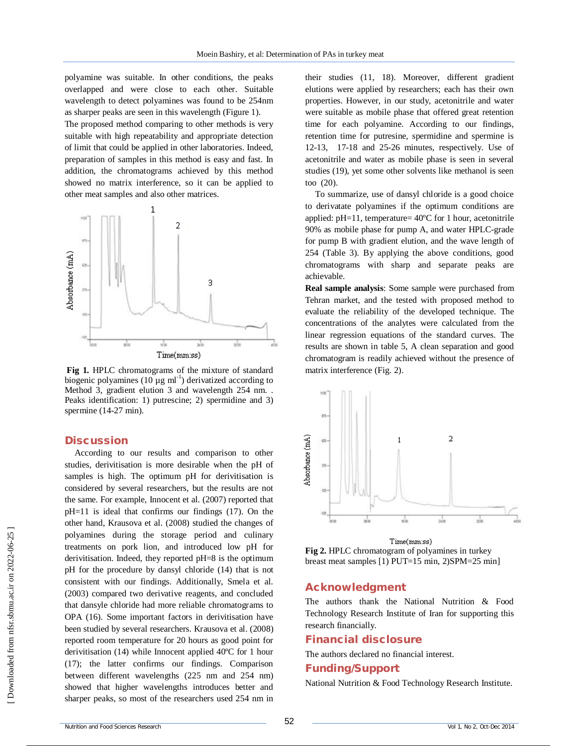polyamine was suitable. In other conditions, the peaks overlapped and were close to each other. Suitable wavelength to detect polyamines was found to be 254nm as sharper peaks are seen in this wavelength (Figure 1).

The proposed method comparing to other methods is very suitable with high repeatability and appropriate detection of limit that could be applied in other laboratories. Indeed, preparation of samples in this method is easy and fast. In addition, the chromatograms achieved by this method showed no matrix interference, so it can be applied to other meat samples and also other matrices.



**Fig 1.** HPLC chromatograms of the mixture of standard biogenic polyamines (10  $\mu$ g ml<sup>-1</sup>) derivatized according to Method 3, gradient elution 3 and wavelength 254 nm. . Peaks identification: 1) putrescine; 2) spermidine and 3) spermine (14-27 min).

# **Discussion**

According to our results and comparison to other studies, derivitisation is more desirable when the pH of samples is high. The optimum pH for derivitisation is considered by several researchers, but the results are not the same. For example, Innocent et al. (2007) reported that pH=11 is ideal that confirms our findings (17). On the other hand, Krausova et al. (2008) studied the changes of polyamines during the storage period and culinary treatments on pork lion, and introduced low pH for derivitisation. Indeed, they reported pH=8 is the optimum pH for the procedure by dansyl chloride (14) that is not consistent with our findings. Additionally, Smela et al. (2003) compared two derivative reagents, and concluded that dansyle chloride had more reliable chromatograms to OPA (16). Some important factors in derivitisation have been studied by several researchers. Krausova et al. (2008) reported room temperature for 20 hours as good point for derivitisation (14) while Innocent applied 40ºC for 1 hour (17); the latter confirms our findings. Comparison between different wavelengths (225 nm and 254 nm) showed that higher wavelengths introduces better and sharper peaks, so most of the researchers used 254 nm in

their studies (11, 18). Moreover, different gradient elutions were applied by researchers; each has their own properties. However, in our study, acetonitrile and water were suitable as mobile phase that offered great retention time for each polyamine. According to our findings, retention time for putresine, spermidine and spermine is 12-13, 17-18 and 25-26 minutes, respectively. Use of acetonitrile and water as mobile phase is seen in several studies (19), yet some other solvents like methanol is seen too (20).

To summarize, use of dansyl chloride is a good choice to derivatate polyamines if the optimum conditions are applied: pH=11, temperature= 40ºC for 1 hour, acetonitrile 90% as mobile phase for pump A, and water HPLC-grade for pump B with gradient elution, and the wave length of 254 (Table 3). By applying the above conditions, good chromatograms with sharp and separate peaks are achievable.

**Real sample analysis**: Some sample were purchased from Tehran market, and the tested with proposed method to evaluate the reliability of the developed technique. The concentrations of the analytes were calculated from the linear regression equations of the standard curves. The results are shown in table 5, A clean separation and good chromatogram is readily achieved without the presence of matrix interference (Fig. 2).



Time(mm:ss) **Fig 2.** HPLC chromatogram of polyamines in turkey breast meat samples [1) PUT=15 min, 2)SPM=25 min]

#### **Acknowledgment**

The authors thank the National Nutrition & Food Technology Research Institute of Iran for supporting this research financially.

#### **Financial disclosure**

The authors declared no financial interest.

### **Funding/Support**

National Nutrition & Food Technology Research Institute.